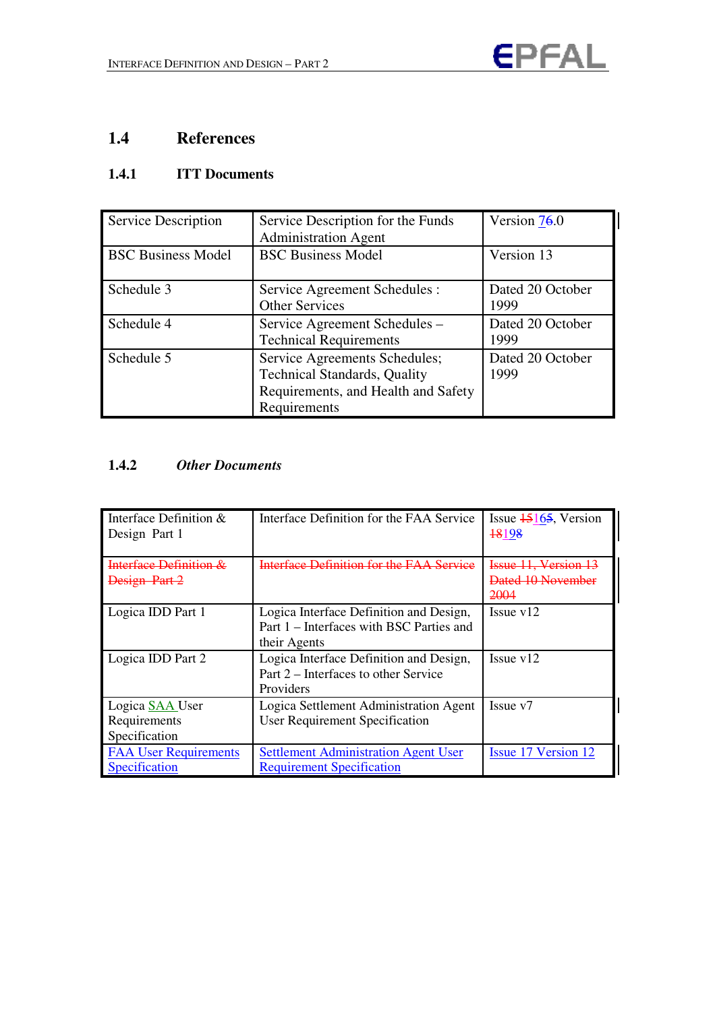# **1.4 References**

### **1.4.1 ITT Documents**

| Service Description       | Service Description for the Funds<br><b>Administration Agent</b>                                                            | Version $76.0$           |
|---------------------------|-----------------------------------------------------------------------------------------------------------------------------|--------------------------|
| <b>BSC Business Model</b> | <b>BSC Business Model</b>                                                                                                   | Version 13               |
| Schedule 3                | Service Agreement Schedules :<br><b>Other Services</b>                                                                      | Dated 20 October<br>1999 |
| Schedule 4                | Service Agreement Schedules -<br><b>Technical Requirements</b>                                                              | Dated 20 October<br>1999 |
| Schedule 5                | Service Agreements Schedules;<br><b>Technical Standards, Quality</b><br>Requirements, and Health and Safety<br>Requirements | Dated 20 October<br>1999 |

## **1.4.2** *Other Documents*

| Interface Definition &<br>Design Part 1          | Interface Definition for the FAA Service                                                            | Issue $\frac{15165}{ }$ , Version<br>18198                            |
|--------------------------------------------------|-----------------------------------------------------------------------------------------------------|-----------------------------------------------------------------------|
| Interface Definition &<br>Design Part 2          | Interface Definition for the FAA Service                                                            | <del>Issue 11. Version 13</del><br>Dated 10 Novemb<br><del>2004</del> |
| Logica IDD Part 1                                | Logica Interface Definition and Design,<br>Part 1 – Interfaces with BSC Parties and<br>their Agents | Is sue v12                                                            |
| Logica IDD Part 2                                | Logica Interface Definition and Design,<br>Part 2 – Interfaces to other Service<br>Providers        | Issue v12                                                             |
| Logica SAA User<br>Requirements<br>Specification | Logica Settlement Administration Agent<br>User Requirement Specification                            | $I$ ssue $v7$                                                         |
| <b>FAA User Requirements</b><br>Specification    | <b>Settlement Administration Agent User</b><br><b>Requirement Specification</b>                     | <b>Issue 17 Version 12</b>                                            |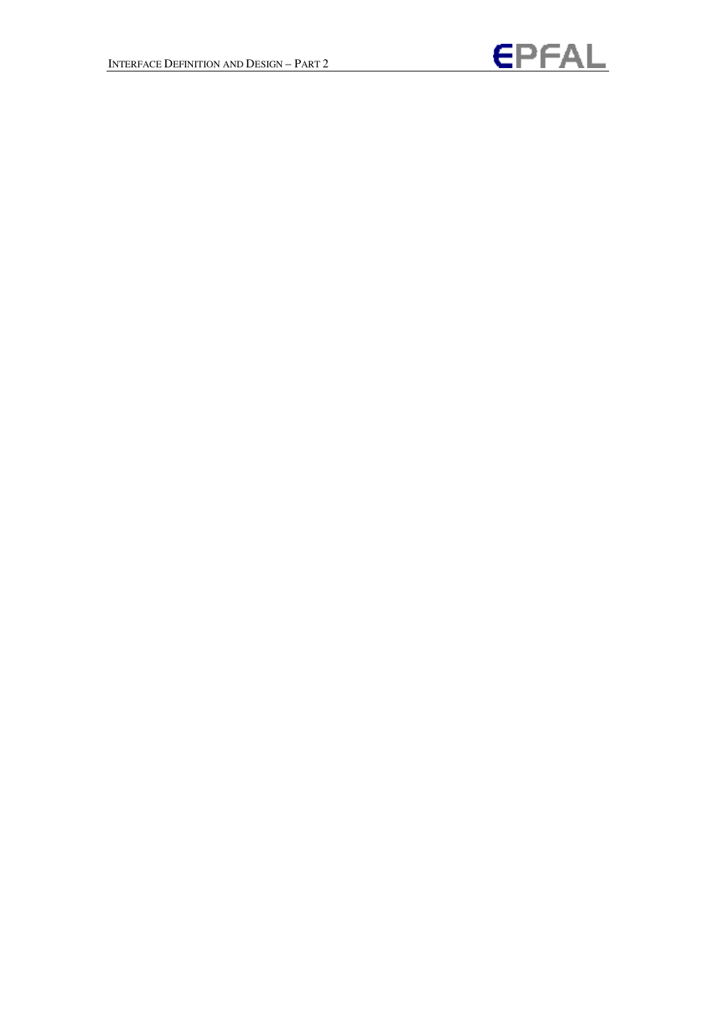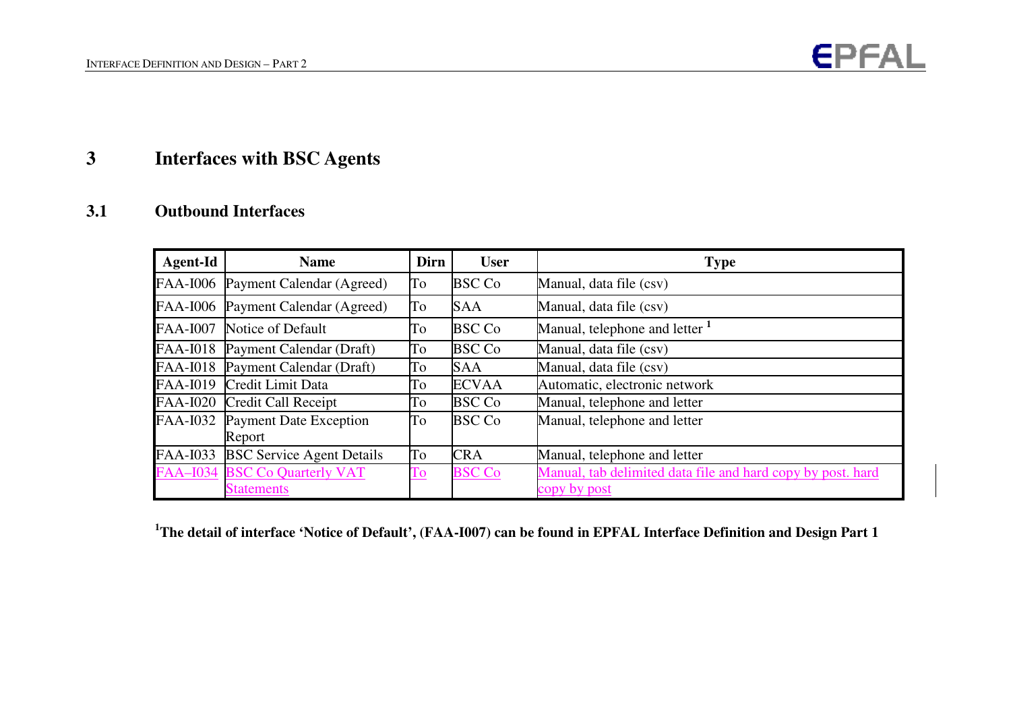

### **3Interfaces with BSC Agents**

#### **3.1Outbound Interfaces**

| Agent-Id | <b>Name</b>                                        | <b>Dirn</b> | <b>User</b>   | <b>Type</b>                                                                 |
|----------|----------------------------------------------------|-------------|---------------|-----------------------------------------------------------------------------|
|          | FAA-I006 Payment Calendar (Agreed)                 | To          | <b>BSC Co</b> | Manual, data file (csv)                                                     |
|          | FAA-I006 Payment Calendar (Agreed)                 | To          | <b>SAA</b>    | Manual, data file (csv)                                                     |
| FAA-I007 | Notice of Default                                  | To          | <b>BSC Co</b> | Manual, telephone and letter <sup>1</sup>                                   |
|          | FAA-I018 Payment Calendar (Draft)                  | To          | <b>BSC Co</b> | Manual, data file (csv)                                                     |
|          | FAA-I018 Payment Calendar (Draft)                  | To          | SAA           | Manual, data file (csv)                                                     |
|          | FAA-I019 Credit Limit Data                         | To          | <b>ECVAA</b>  | Automatic, electronic network                                               |
|          | FAA-I020 Credit Call Receipt                       | To          | <b>BSC Co</b> | Manual, telephone and letter                                                |
|          | FAA-I032 Payment Date Exception<br>Report          | To          | <b>BSC Co</b> | Manual, telephone and letter                                                |
| FAA-I033 | <b>BSC</b> Service Agent Details                   | To          | <b>CRA</b>    | Manual, telephone and letter                                                |
|          | FAA-I034 BSC Co Quarterly VAT<br><b>Statements</b> | <u>To</u>   | <b>BSC Co</b> | Manual, tab delimited data file and hard copy by post. hard<br>copy by post |

 $^1$ The detail of interface 'Notice of Default', (FAA-I007) can be found in EPFAL Interface Definition and Design Part 1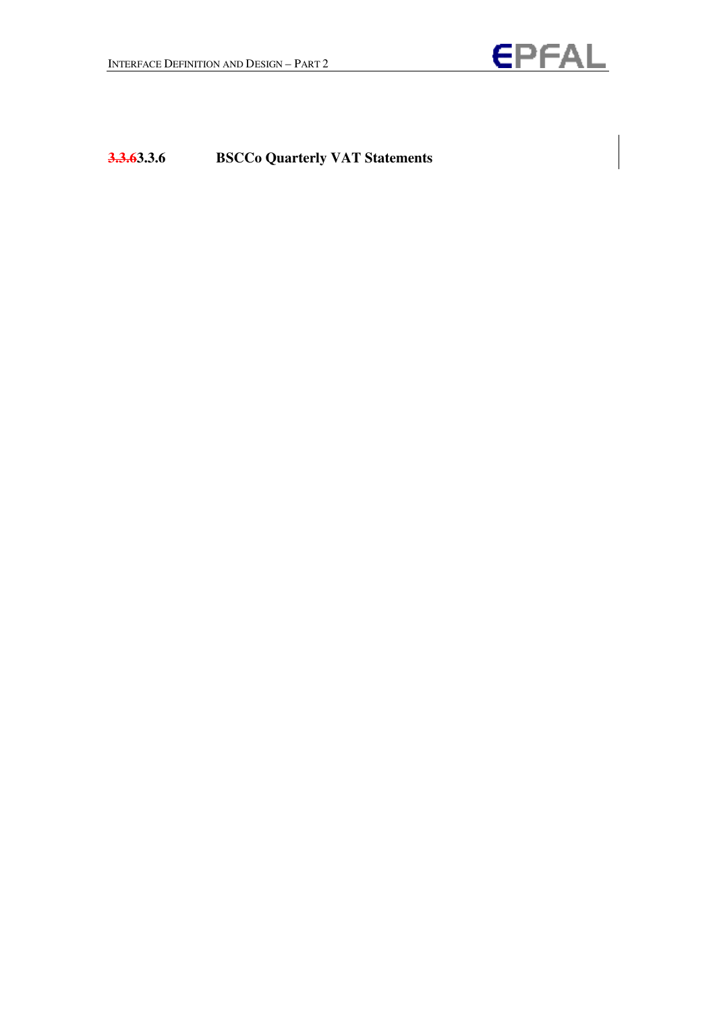

**3.3.63.3.6 BSCCo Quarterly VAT Statements**